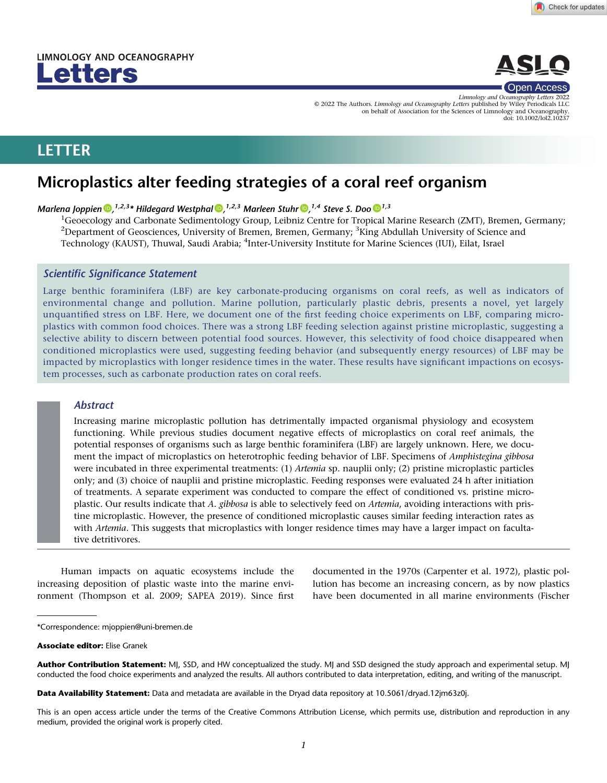



Limnology and Oceanography Letters 2022 © 2022 The Authors. Limnology and Oceanography Letters published by Wiley Periodicals LLC on behalf of Association for the Sciences of Limnology and Oceanography. doi: 10.1002/lol2.10237

# LETTER

# Microplastics alter feeding strategies of a coral reef organism

# Marlena Joppien  $\bm{\mathbb{D}}^{1,2,3}$  $\bm{\mathbb{D}}^{1,2,3}$  $\bm{\mathbb{D}}^{1,2,3}$ \* Hildegard Westphal  $\bm{\mathbb{D}}^{1,2,3}$  $\bm{\mathbb{D}}^{1,2,3}$  $\bm{\mathbb{D}}^{1,2,3}$  Marleen Stuhr  $\bm{\mathbb{D}}^{1,4}$  Steve S. Doo  $\bm{\mathbb{D}}^{1,3}$

<sup>1</sup>Geoecology and Carbonate Sedimentology Group, Leibniz Centre for Tropical Marine Research (ZMT), Bremen, Germany;  $^{2}$ Department of Geosciences, University of Bremen, Bremen, Germany;  $^{3}$ King Abdullah University of Science and Technology (KAUST), Thuwal, Saudi Arabia; <sup>4</sup>Inter-University Institute for Marine Sciences (IUI), Eilat, Israel

# Scientific Significance Statement

Large benthic foraminifera (LBF) are key carbonate-producing organisms on coral reefs, as well as indicators of environmental change and pollution. Marine pollution, particularly plastic debris, presents a novel, yet largely unquantified stress on LBF. Here, we document one of the first feeding choice experiments on LBF, comparing microplastics with common food choices. There was a strong LBF feeding selection against pristine microplastic, suggesting a selective ability to discern between potential food sources. However, this selectivity of food choice disappeared when conditioned microplastics were used, suggesting feeding behavior (and subsequently energy resources) of LBF may be impacted by microplastics with longer residence times in the water. These results have significant impactions on ecosystem processes, such as carbonate production rates on coral reefs.

# Abstract

Increasing marine microplastic pollution has detrimentally impacted organismal physiology and ecosystem functioning. While previous studies document negative effects of microplastics on coral reef animals, the potential responses of organisms such as large benthic foraminifera (LBF) are largely unknown. Here, we document the impact of microplastics on heterotrophic feeding behavior of LBF. Specimens of Amphistegina gibbosa were incubated in three experimental treatments: (1) Artemia sp. nauplii only; (2) pristine microplastic particles only; and (3) choice of nauplii and pristine microplastic. Feeding responses were evaluated 24 h after initiation of treatments. A separate experiment was conducted to compare the effect of conditioned vs. pristine microplastic. Our results indicate that A. gibbosa is able to selectively feed on Artemia, avoiding interactions with pristine microplastic. However, the presence of conditioned microplastic causes similar feeding interaction rates as with Artemia. This suggests that microplastics with longer residence times may have a larger impact on facultative detritivores.

Human impacts on aquatic ecosystems include the increasing deposition of plastic waste into the marine environment (Thompson et al. 2009; SAPEA 2019). Since first

documented in the 1970s (Carpenter et al. 1972), plastic pollution has become an increasing concern, as by now plastics have been documented in all marine environments (Fischer

Associate editor: Elise Granek

Author Contribution Statement: MJ, SSD, and HW conceptualized the study. MJ and SSD designed the study approach and experimental setup. MJ conducted the food choice experiments and analyzed the results. All authors contributed to data interpretation, editing, and writing of the manuscript.

Data Availability Statement: Data and metadata are available in the Dryad data repository at [10.5061/dryad.12jm63z0j](https://doi.org/10.5061/dryad.12jm63z0j).

This is an open access article under the terms of the [Creative Commons Attribution](http://creativecommons.org/licenses/by/4.0/) License, which permits use, distribution and reproduction in any medium, provided the original work is properly cited.

<sup>\*</sup>Correspondence: [mjoppien@uni-bremen.de](mailto:mjoppien@uni-bremen.de)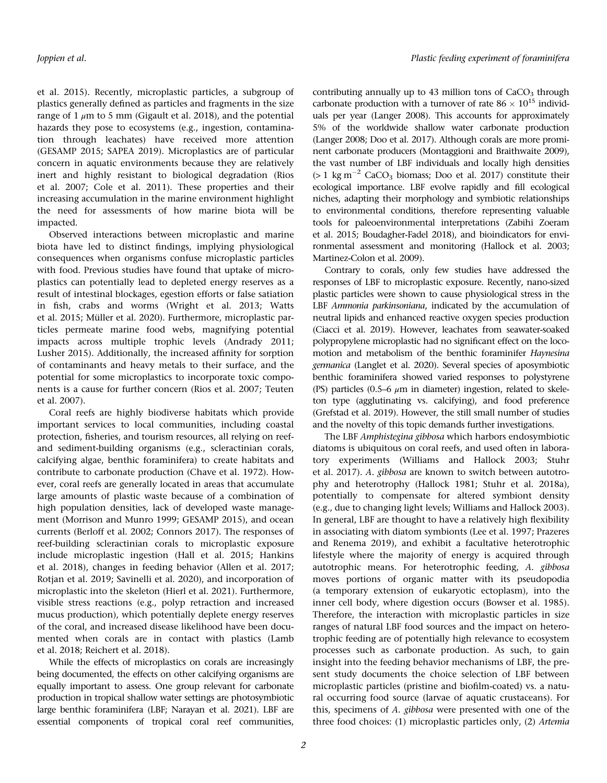et al. 2015). Recently, microplastic particles, a subgroup of plastics generally defined as particles and fragments in the size range of 1  $\mu$ m to 5 mm (Gigault et al. 2018), and the potential hazards they pose to ecosystems (e.g., ingestion, contamination through leachates) have received more attention (GESAMP 2015; SAPEA 2019). Microplastics are of particular concern in aquatic environments because they are relatively inert and highly resistant to biological degradation (Rios et al. 2007; Cole et al. 2011). These properties and their increasing accumulation in the marine environment highlight the need for assessments of how marine biota will be impacted.

Observed interactions between microplastic and marine biota have led to distinct findings, implying physiological consequences when organisms confuse microplastic particles with food. Previous studies have found that uptake of microplastics can potentially lead to depleted energy reserves as a result of intestinal blockages, egestion efforts or false satiation in fish, crabs and worms (Wright et al. 2013; Watts et al. 2015; Müller et al. 2020). Furthermore, microplastic particles permeate marine food webs, magnifying potential impacts across multiple trophic levels (Andrady 2011; Lusher 2015). Additionally, the increased affinity for sorption of contaminants and heavy metals to their surface, and the potential for some microplastics to incorporate toxic components is a cause for further concern (Rios et al. 2007; Teuten et al. 2007).

Coral reefs are highly biodiverse habitats which provide important services to local communities, including coastal protection, fisheries, and tourism resources, all relying on reefand sediment-building organisms (e.g., scleractinian corals, calcifying algae, benthic foraminifera) to create habitats and contribute to carbonate production (Chave et al. 1972). However, coral reefs are generally located in areas that accumulate large amounts of plastic waste because of a combination of high population densities, lack of developed waste management (Morrison and Munro 1999; GESAMP 2015), and ocean currents (Berloff et al. 2002; Connors 2017). The responses of reef-building scleractinian corals to microplastic exposure include microplastic ingestion (Hall et al. 2015; Hankins et al. 2018), changes in feeding behavior (Allen et al. 2017; Rotjan et al. 2019; Savinelli et al. 2020), and incorporation of microplastic into the skeleton (Hierl et al. 2021). Furthermore, visible stress reactions (e.g., polyp retraction and increased mucus production), which potentially deplete energy reserves of the coral, and increased disease likelihood have been documented when corals are in contact with plastics (Lamb et al. 2018; Reichert et al. 2018).

While the effects of microplastics on corals are increasingly being documented, the effects on other calcifying organisms are equally important to assess. One group relevant for carbonate production in tropical shallow water settings are photosymbiotic large benthic foraminifera (LBF; Narayan et al. 2021). LBF are essential components of tropical coral reef communities,

contributing annually up to 43 million tons of  $CaCO<sub>3</sub>$  through carbonate production with a turnover of rate  $86 \times 10^{15}$  individuals per year (Langer 2008). This accounts for approximately 5% of the worldwide shallow water carbonate production (Langer 2008; Doo et al. 2017). Although corals are more prominent carbonate producers (Montaggioni and Braithwaite 2009), the vast number of LBF individuals and locally high densities ( $> 1 \text{ kg m}^{-2}$  CaCO<sub>3</sub> biomass; Doo et al. 2017) constitute their ecological importance. LBF evolve rapidly and fill ecological niches, adapting their morphology and symbiotic relationships to environmental conditions, therefore representing valuable tools for paleoenvironmental interpretations (Zabihi Zoeram et al. 2015; Boudagher-Fadel 2018), and bioindicators for environmental assessment and monitoring (Hallock et al. 2003; Martinez-Colon et al. 2009).

Contrary to corals, only few studies have addressed the responses of LBF to microplastic exposure. Recently, nano-sized plastic particles were shown to cause physiological stress in the LBF Ammonia parkinsoniana, indicated by the accumulation of neutral lipids and enhanced reactive oxygen species production (Ciacci et al. 2019). However, leachates from seawater-soaked polypropylene microplastic had no significant effect on the locomotion and metabolism of the benthic foraminifer Haynesina germanica (Langlet et al. 2020). Several species of aposymbiotic benthic foraminifera showed varied responses to polystyrene (PS) particles (0.5–6  $\mu$ m in diameter) ingestion, related to skeleton type (agglutinating vs. calcifying), and food preference (Grefstad et al. 2019). However, the still small number of studies and the novelty of this topic demands further investigations.

The LBF Amphistegina gibbosa which harbors endosymbiotic diatoms is ubiquitous on coral reefs, and used often in laboratory experiments (Williams and Hallock 2003; Stuhr et al. 2017). A. gibbosa are known to switch between autotrophy and heterotrophy (Hallock 1981; Stuhr et al. 2018a), potentially to compensate for altered symbiont density (e.g., due to changing light levels; Williams and Hallock 2003). In general, LBF are thought to have a relatively high flexibility in associating with diatom symbionts (Lee et al. 1997; Prazeres and Renema 2019), and exhibit a facultative heterotrophic lifestyle where the majority of energy is acquired through autotrophic means. For heterotrophic feeding, A. gibbosa moves portions of organic matter with its pseudopodia (a temporary extension of eukaryotic ectoplasm), into the inner cell body, where digestion occurs (Bowser et al. 1985). Therefore, the interaction with microplastic particles in size ranges of natural LBF food sources and the impact on heterotrophic feeding are of potentially high relevance to ecosystem processes such as carbonate production. As such, to gain insight into the feeding behavior mechanisms of LBF, the present study documents the choice selection of LBF between microplastic particles (pristine and biofilm-coated) vs. a natural occurring food source (larvae of aquatic crustaceans). For this, specimens of A. gibbosa were presented with one of the three food choices: (1) microplastic particles only, (2) Artemia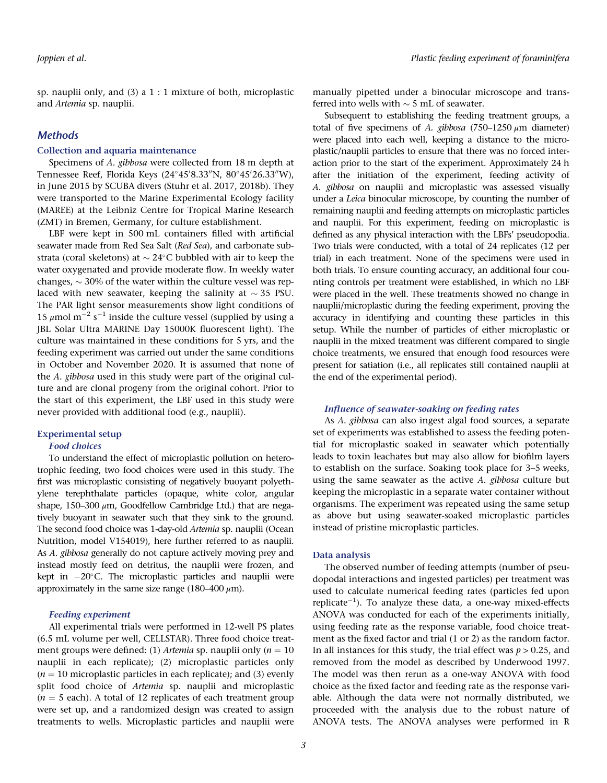sp. nauplii only, and (3) a 1 : 1 mixture of both, microplastic and Artemia sp. nauplii.

## **Methods**

#### Collection and aquaria maintenance

Specimens of A. gibbosa were collected from 18 m depth at Tennessee Reef, Florida Keys (24°45′8.33″N, 80°45′26.33″W), in June 2015 by SCUBA divers (Stuhr et al. 2017, 2018b). They were transported to the Marine Experimental Ecology facility (MAREE) at the Leibniz Centre for Tropical Marine Research (ZMT) in Bremen, Germany, for culture establishment.

LBF were kept in 500 mL containers filled with artificial seawater made from Red Sea Salt (Red Sea), and carbonate substrata (coral skeletons) at  $\sim 24^{\circ}$ C bubbled with air to keep the water oxygenated and provide moderate flow. In weekly water changes,  $\sim$  30% of the water within the culture vessel was replaced with new seawater, keeping the salinity at  $\sim$  35 PSU. The PAR light sensor measurements show light conditions of 15  $\mu$ mol m<sup>-2</sup> s<sup>-1</sup> inside the culture vessel (supplied by using a JBL Solar Ultra MARINE Day 15000K fluorescent light). The culture was maintained in these conditions for 5 yrs, and the feeding experiment was carried out under the same conditions in October and November 2020. It is assumed that none of the A. gibbosa used in this study were part of the original culture and are clonal progeny from the original cohort. Prior to the start of this experiment, the LBF used in this study were never provided with additional food (e.g., nauplii).

#### Experimental setup

#### Food choices

To understand the effect of microplastic pollution on heterotrophic feeding, two food choices were used in this study. The first was microplastic consisting of negatively buoyant polyethylene terephthalate particles (opaque, white color, angular shape, 150–300  $\mu$ m, Goodfellow Cambridge Ltd.) that are negatively buoyant in seawater such that they sink to the ground. The second food choice was 1-day-old Artemia sp. nauplii (Ocean Nutrition, model V154019), here further referred to as nauplii. As A. gibbosa generally do not capture actively moving prey and instead mostly feed on detritus, the nauplii were frozen, and kept in  $-20^{\circ}$ C. The microplastic particles and nauplii were approximately in the same size range (180–400  $\mu$ m).

#### Feeding experiment

All experimental trials were performed in 12-well PS plates (6.5 mL volume per well, CELLSTAR). Three food choice treatment groups were defined: (1) Artemia sp. nauplii only ( $n = 10$ nauplii in each replicate); (2) microplastic particles only  $(n = 10$  microplastic particles in each replicate); and (3) evenly split food choice of Artemia sp. nauplii and microplastic  $(n = 5$  each). A total of 12 replicates of each treatment group were set up, and a randomized design was created to assign treatments to wells. Microplastic particles and nauplii were

manually pipetted under a binocular microscope and transferred into wells with  $\sim$  5 mL of seawater.

Subsequent to establishing the feeding treatment groups, a total of five specimens of A. gibbosa (750–1250  $\mu$ m diameter) were placed into each well, keeping a distance to the microplastic/nauplii particles to ensure that there was no forced interaction prior to the start of the experiment. Approximately 24 h after the initiation of the experiment, feeding activity of A. gibbosa on nauplii and microplastic was assessed visually under a Leica binocular microscope, by counting the number of remaining nauplii and feeding attempts on microplastic particles and nauplii. For this experiment, feeding on microplastic is defined as any physical interaction with the LBFs' pseudopodia. Two trials were conducted, with a total of 24 replicates (12 per trial) in each treatment. None of the specimens were used in both trials. To ensure counting accuracy, an additional four counting controls per treatment were established, in which no LBF were placed in the well. These treatments showed no change in nauplii/microplastic during the feeding experiment, proving the accuracy in identifying and counting these particles in this setup. While the number of particles of either microplastic or nauplii in the mixed treatment was different compared to single choice treatments, we ensured that enough food resources were present for satiation (i.e., all replicates still contained nauplii at the end of the experimental period).

#### Influence of seawater-soaking on feeding rates

As A. gibbosa can also ingest algal food sources, a separate set of experiments was established to assess the feeding potential for microplastic soaked in seawater which potentially leads to toxin leachates but may also allow for biofilm layers to establish on the surface. Soaking took place for 3–5 weeks, using the same seawater as the active A. gibbosa culture but keeping the microplastic in a separate water container without organisms. The experiment was repeated using the same setup as above but using seawater-soaked microplastic particles instead of pristine microplastic particles.

#### Data analysis

The observed number of feeding attempts (number of pseudopodal interactions and ingested particles) per treatment was used to calculate numerical feeding rates (particles fed upon replicate $^{-1}$ ). To analyze these data, a one-way mixed-effects ANOVA was conducted for each of the experiments initially, using feeding rate as the response variable, food choice treatment as the fixed factor and trial (1 or 2) as the random factor. In all instances for this study, the trial effect was  $p > 0.25$ , and removed from the model as described by Underwood 1997. The model was then rerun as a one-way ANOVA with food choice as the fixed factor and feeding rate as the response variable. Although the data were not normally distributed, we proceeded with the analysis due to the robust nature of ANOVA tests. The ANOVA analyses were performed in R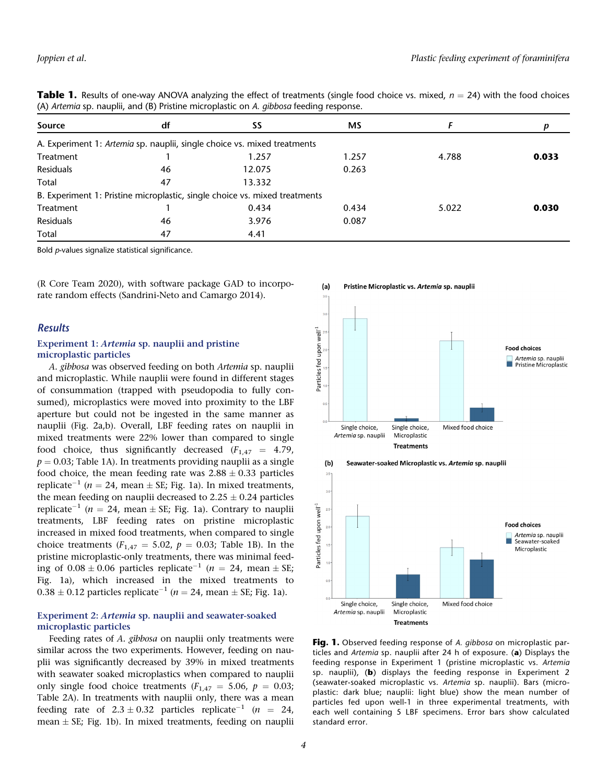| www.community.com/wind/b/indenie-indiversity.com/windows- |    |                                                                            |       |       |       |  |  |  |
|-----------------------------------------------------------|----|----------------------------------------------------------------------------|-------|-------|-------|--|--|--|
| Source                                                    | df | SS                                                                         | МS    |       |       |  |  |  |
|                                                           |    | A. Experiment 1: Artemia sp. nauplii, single choice vs. mixed treatments   |       |       |       |  |  |  |
| Treatment                                                 |    | 1.257                                                                      | 1.257 | 4.788 | 0.033 |  |  |  |
| Residuals                                                 | 46 | 12.075                                                                     | 0.263 |       |       |  |  |  |
| Total                                                     | 47 | 13.332                                                                     |       |       |       |  |  |  |
|                                                           |    | B. Experiment 1: Pristine microplastic, single choice vs. mixed treatments |       |       |       |  |  |  |
| Treatment                                                 |    | 0.434                                                                      | 0.434 | 5.022 | 0.030 |  |  |  |
| Residuals                                                 | 46 | 3.976                                                                      | 0.087 |       |       |  |  |  |
| Total                                                     | 47 | 4.41                                                                       |       |       |       |  |  |  |
|                                                           |    |                                                                            |       |       |       |  |  |  |

**Table 1.** Results of one-way ANOVA analyzing the effect of treatments (single food choice vs. mixed,  $n = 24$ ) with the food choices (A) Artemia sp. nauplii, and (B) Pristine microplastic on A. gibbosa feeding response.

Bold p-values signalize statistical significance.

(R Core Team 2020), with software package GAD to incorporate random effects (Sandrini-Neto and Camargo 2014).

### Results

#### Experiment 1: Artemia sp. nauplii and pristine microplastic particles

A. gibbosa was observed feeding on both Artemia sp. nauplii and microplastic. While nauplii were found in different stages of consummation (trapped with pseudopodia to fully consumed), microplastics were moved into proximity to the LBF aperture but could not be ingested in the same manner as nauplii (Fig. 2a,b). Overall, LBF feeding rates on nauplii in mixed treatments were 22% lower than compared to single food choice, thus significantly decreased  $(F_{1,47} = 4.79)$ ,  $p = 0.03$ ; Table 1A). In treatments providing nauplii as a single food choice, the mean feeding rate was  $2.88 \pm 0.33$  particles replicate<sup>-1</sup> ( $n = 24$ , mean  $\pm$  SE; Fig. 1a). In mixed treatments, the mean feeding on nauplii decreased to  $2.25 \pm 0.24$  particles replicate<sup>-1</sup> ( $n = 24$ , mean  $\pm$  SE; Fig. 1a). Contrary to nauplii treatments, LBF feeding rates on pristine microplastic increased in mixed food treatments, when compared to single choice treatments ( $F_{1,47} = 5.02$ ,  $p = 0.03$ ; Table 1B). In the pristine microplastic-only treatments, there was minimal feeding of  $0.08 \pm 0.06$  particles replicate<sup>-1</sup> (n = 24, mean  $\pm$  SE; Fig. 1a), which increased in the mixed treatments to  $0.38 \pm 0.12$  particles replicate<sup>-1</sup> ( $n = 24$ , mean  $\pm$  SE; Fig. 1a).

#### Experiment 2: Artemia sp. nauplii and seawater-soaked microplastic particles

Feeding rates of A. gibbosa on nauplii only treatments were similar across the two experiments. However, feeding on nauplii was significantly decreased by 39% in mixed treatments with seawater soaked microplastics when compared to nauplii only single food choice treatments ( $F_{1,47} = 5.06$ ,  $p = 0.03$ ; Table 2A). In treatments with nauplii only, there was a mean feeding rate of  $2.3 \pm 0.32$  particles replicate<sup>-1</sup> (n = 24, mean  $\pm$  SE; Fig. 1b). In mixed treatments, feeding on nauplii





standard error.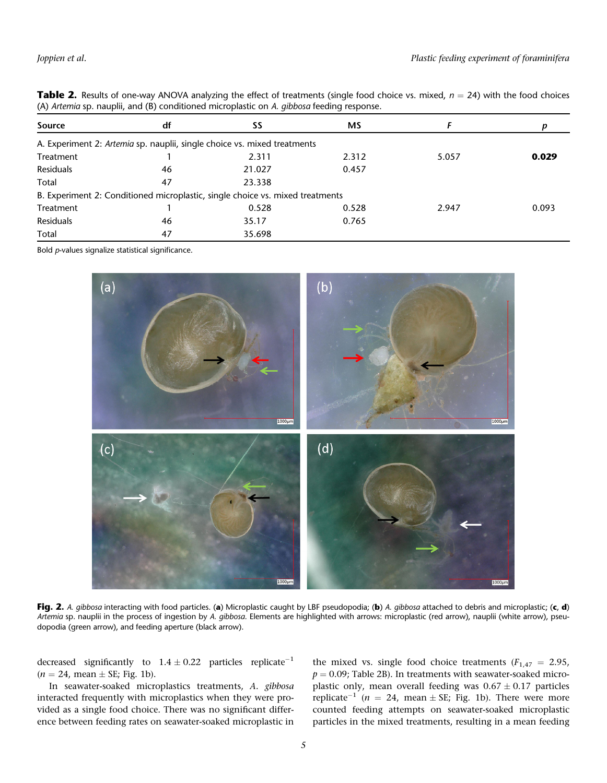| (A) Artemia sp. naupili, and (b) conditioned micropiasuc on A. <i>qibbosa</i> reeding response. |    |                                                                               |       |       |       |  |  |  |
|-------------------------------------------------------------------------------------------------|----|-------------------------------------------------------------------------------|-------|-------|-------|--|--|--|
| Source                                                                                          | df | SS                                                                            | МS    |       |       |  |  |  |
|                                                                                                 |    | A. Experiment 2: Artemia sp. nauplii, single choice vs. mixed treatments      |       |       |       |  |  |  |
| Treatment                                                                                       |    | 2.311                                                                         | 2.312 | 5.057 | 0.029 |  |  |  |
| Residuals                                                                                       | 46 | 21.027                                                                        | 0.457 |       |       |  |  |  |
| Total                                                                                           | 47 | 23.338                                                                        |       |       |       |  |  |  |
|                                                                                                 |    | B. Experiment 2: Conditioned microplastic, single choice vs. mixed treatments |       |       |       |  |  |  |
| Treatment                                                                                       |    | 0.528                                                                         | 0.528 | 2.947 | 0.093 |  |  |  |
| Residuals                                                                                       | 46 | 35.17                                                                         | 0.765 |       |       |  |  |  |
| Total                                                                                           | 47 | 35.698                                                                        |       |       |       |  |  |  |

**Table 2.** Results of one-way ANOVA analyzing the effect of treatments (single food choice vs. mixed,  $n = 24$ ) with the food choices  $(4)$  Artamia sp. pauplii, and  $(8)$  conditioned microplastic on A *gibbosg* feeding res  $\sum_{n=1}^{\infty}$  and  $\sum_{n=1}^{\infty}$  conditioned microplastic on A. gibbosa feed

Bold p-values signalize statistical significance.



Fig. 2. A. gibbosa interacting with food particles. (a) Microplastic caught by LBF pseudopodia; (b) A. gibbosa attached to debris and microplastic; (c, d) Artemia sp. nauplii in the process of ingestion by A. gibbosa. Elements are highlighted with arrows: microplastic (red arrow), nauplii (white arrow), pseudopodia (green arrow), and feeding aperture (black arrow).

decreased significantly to  $1.4 \pm 0.22$  particles replicate<sup>-1</sup>  $(n = 24$ , mean  $\pm$  SE; Fig. 1b).

In seawater-soaked microplastics treatments, A. gibbosa interacted frequently with microplastics when they were provided as a single food choice. There was no significant difference between feeding rates on seawater-soaked microplastic in

the mixed vs. single food choice treatments ( $F_{1,47} = 2.95$ ,  $p = 0.09$ ; Table 2B). In treatments with seawater-soaked microplastic only, mean overall feeding was  $0.67 \pm 0.17$  particles replicate<sup>-1</sup> (n = 24, mean  $\pm$  SE; Fig. 1b). There were more counted feeding attempts on seawater-soaked microplastic particles in the mixed treatments, resulting in a mean feeding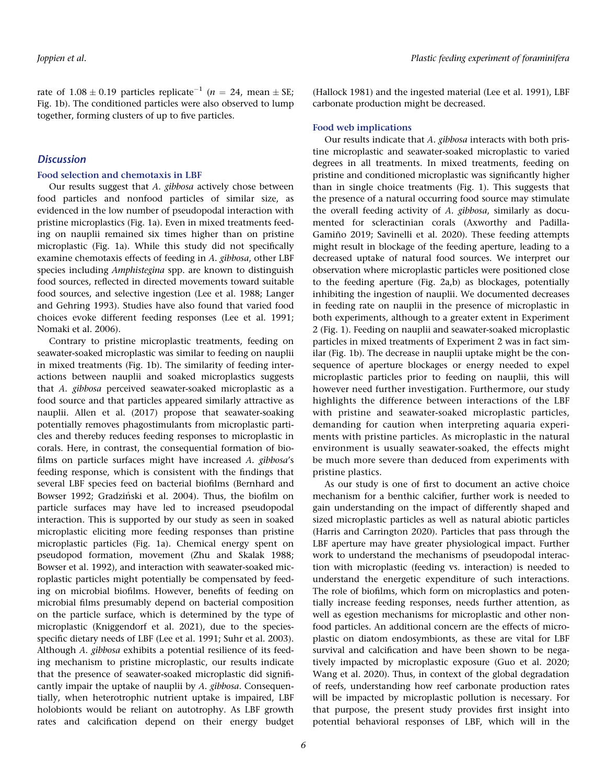rate of  $1.08 \pm 0.19$  particles replicate<sup>-1</sup> ( $n = 24$ , mean  $\pm$  SE; Fig. 1b). The conditioned particles were also observed to lump together, forming clusters of up to five particles.

## **Discussion**

#### Food selection and chemotaxis in LBF

Our results suggest that A. gibbosa actively chose between food particles and nonfood particles of similar size, as evidenced in the low number of pseudopodal interaction with pristine microplastics (Fig. 1a). Even in mixed treatments feeding on nauplii remained six times higher than on pristine microplastic (Fig. 1a). While this study did not specifically examine chemotaxis effects of feeding in A. gibbosa, other LBF species including Amphistegina spp. are known to distinguish food sources, reflected in directed movements toward suitable food sources, and selective ingestion (Lee et al. 1988; Langer and Gehring 1993). Studies have also found that varied food choices evoke different feeding responses (Lee et al. 1991; Nomaki et al. 2006).

Contrary to pristine microplastic treatments, feeding on seawater-soaked microplastic was similar to feeding on nauplii in mixed treatments (Fig. 1b). The similarity of feeding interactions between nauplii and soaked microplastics suggests that A. gibbosa perceived seawater-soaked microplastic as a food source and that particles appeared similarly attractive as nauplii. Allen et al. (2017) propose that seawater-soaking potentially removes phagostimulants from microplastic particles and thereby reduces feeding responses to microplastic in corals. Here, in contrast, the consequential formation of biofilms on particle surfaces might have increased A. gibbosa's feeding response, which is consistent with the findings that several LBF species feed on bacterial biofilms (Bernhard and Bowser 1992; Gradziński et al. 2004). Thus, the biofilm on particle surfaces may have led to increased pseudopodal interaction. This is supported by our study as seen in soaked microplastic eliciting more feeding responses than pristine microplastic particles (Fig. 1a). Chemical energy spent on pseudopod formation, movement (Zhu and Skalak 1988; Bowser et al. 1992), and interaction with seawater-soaked microplastic particles might potentially be compensated by feeding on microbial biofilms. However, benefits of feeding on microbial films presumably depend on bacterial composition on the particle surface, which is determined by the type of microplastic (Kniggendorf et al. 2021), due to the speciesspecific dietary needs of LBF (Lee et al. 1991; Suhr et al. 2003). Although A. gibbosa exhibits a potential resilience of its feeding mechanism to pristine microplastic, our results indicate that the presence of seawater-soaked microplastic did significantly impair the uptake of nauplii by A. gibbosa. Consequentially, when heterotrophic nutrient uptake is impaired, LBF holobionts would be reliant on autotrophy. As LBF growth rates and calcification depend on their energy budget

(Hallock 1981) and the ingested material (Lee et al. 1991), LBF carbonate production might be decreased.

#### Food web implications

Our results indicate that A. gibbosa interacts with both pristine microplastic and seawater-soaked microplastic to varied degrees in all treatments. In mixed treatments, feeding on pristine and conditioned microplastic was significantly higher than in single choice treatments (Fig. 1). This suggests that the presence of a natural occurring food source may stimulate the overall feeding activity of A. gibbosa, similarly as documented for scleractinian corals (Axworthy and Padilla-Gamiño 2019; Savinelli et al. 2020). These feeding attempts might result in blockage of the feeding aperture, leading to a decreased uptake of natural food sources. We interpret our observation where microplastic particles were positioned close to the feeding aperture (Fig. 2a,b) as blockages, potentially inhibiting the ingestion of nauplii. We documented decreases in feeding rate on nauplii in the presence of microplastic in both experiments, although to a greater extent in Experiment 2 (Fig. 1). Feeding on nauplii and seawater-soaked microplastic particles in mixed treatments of Experiment 2 was in fact similar (Fig. 1b). The decrease in nauplii uptake might be the consequence of aperture blockages or energy needed to expel microplastic particles prior to feeding on nauplii, this will however need further investigation. Furthermore, our study highlights the difference between interactions of the LBF with pristine and seawater-soaked microplastic particles, demanding for caution when interpreting aquaria experiments with pristine particles. As microplastic in the natural environment is usually seawater-soaked, the effects might be much more severe than deduced from experiments with pristine plastics.

As our study is one of first to document an active choice mechanism for a benthic calcifier, further work is needed to gain understanding on the impact of differently shaped and sized microplastic particles as well as natural abiotic particles (Harris and Carrington 2020). Particles that pass through the LBF aperture may have greater physiological impact. Further work to understand the mechanisms of pseudopodal interaction with microplastic (feeding vs. interaction) is needed to understand the energetic expenditure of such interactions. The role of biofilms, which form on microplastics and potentially increase feeding responses, needs further attention, as well as egestion mechanisms for microplastic and other nonfood particles. An additional concern are the effects of microplastic on diatom endosymbionts, as these are vital for LBF survival and calcification and have been shown to be negatively impacted by microplastic exposure (Guo et al. 2020; Wang et al. 2020). Thus, in context of the global degradation of reefs, understanding how reef carbonate production rates will be impacted by microplastic pollution is necessary. For that purpose, the present study provides first insight into potential behavioral responses of LBF, which will in the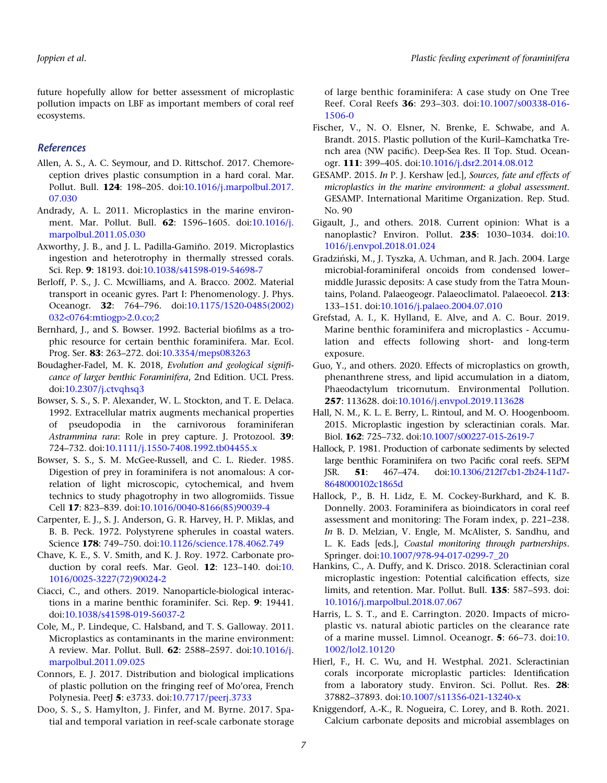future hopefully allow for better assessment of microplastic pollution impacts on LBF as important members of coral reef ecosystems.

# References

- Allen, A. S., A. C. Seymour, and D. Rittschof. 2017. Chemoreception drives plastic consumption in a hard coral. Mar. Pollut. Bull. 124: 198–205. doi:[10.1016/j.marpolbul.2017.](https://doi.org/10.1016/j.marpolbul.2017.07.030) [07.030](https://doi.org/10.1016/j.marpolbul.2017.07.030)
- Andrady, A. L. 2011. Microplastics in the marine environment. Mar. Pollut. Bull. 62: 1596–1605. doi[:10.1016/j.](https://doi.org/10.1016/j.marpolbul.2011.05.030) [marpolbul.2011.05.030](https://doi.org/10.1016/j.marpolbul.2011.05.030)
- Axworthy, J. B., and J. L. Padilla-Gamiño. 2019. Microplastics ingestion and heterotrophy in thermally stressed corals. Sci. Rep. 9: 18193. doi[:10.1038/s41598-019-54698-7](https://doi.org/10.1038/s41598-019-54698-7)
- Berloff, P. S., J. C. Mcwilliams, and A. Bracco. 2002. Material transport in oceanic gyres. Part I: Phenomenology. J. Phys. Oceanogr. 32: 764–796. doi:[10.1175/1520-0485\(2002\)](https://doi.org/10.1175/1520-0485(2002)032%3c0764:mtiogp%3e2.0.co;2) [032<0764:mtiogp>2.0.co;2](https://doi.org/10.1175/1520-0485(2002)032%3c0764:mtiogp%3e2.0.co;2)
- Bernhard, J., and S. Bowser. 1992. Bacterial biofilms as a trophic resource for certain benthic foraminifera. Mar. Ecol. Prog. Ser. 83: 263–272. doi[:10.3354/meps083263](https://doi.org/10.3354/meps083263)
- Boudagher-Fadel, M. K. 2018, Evolution and geological significance of larger benthic Foraminifera, 2nd Edition. UCL Press. doi[:10.2307/j.ctvqhsq3](https://doi.org/10.2307/j.ctvqhsq3)
- Bowser, S. S., S. P. Alexander, W. L. Stockton, and T. E. Delaca. 1992. Extracellular matrix augments mechanical properties of pseudopodia in the carnivorous foraminiferan Astrammina rara: Role in prey capture. J. Protozool. 39: 724–732. doi:[10.1111/j.1550-7408.1992.tb04455.x](https://doi.org/10.1111/j.1550-7408.1992.tb04455.x)
- Bowser, S. S., S. M. McGee-Russell, and C. L. Rieder. 1985. Digestion of prey in foraminifera is not anomalous: A correlation of light microscopic, cytochemical, and hvem technics to study phagotrophy in two allogromiids. Tissue Cell 17: 823–839. doi[:10.1016/0040-8166\(85\)90039-4](https://doi.org/10.1016/0040-8166(85)90039-4)
- Carpenter, E. J., S. J. Anderson, G. R. Harvey, H. P. Miklas, and B. B. Peck. 1972. Polystyrene spherules in coastal waters. Science 178: 749–750. doi[:10.1126/science.178.4062.749](https://doi.org/10.1126/science.178.4062.749)
- Chave, K. E., S. V. Smith, and K. J. Roy. 1972. Carbonate production by coral reefs. Mar. Geol. 12: 123–140. doi:[10.](https://doi.org/10.1016/0025-3227(72)90024-2) [1016/0025-3227\(72\)90024-2](https://doi.org/10.1016/0025-3227(72)90024-2)
- Ciacci, C., and others. 2019. Nanoparticle-biological interactions in a marine benthic foraminifer. Sci. Rep. 9: 19441. doi[:10.1038/s41598-019-56037-2](https://doi.org/10.1038/s41598-019-56037-2)
- Cole, M., P. Lindeque, C. Halsband, and T. S. Galloway. 2011. Microplastics as contaminants in the marine environment: A review. Mar. Pollut. Bull. 62: 2588–2597. doi[:10.1016/j.](https://doi.org/10.1016/j.marpolbul.2011.09.025) [marpolbul.2011.09.025](https://doi.org/10.1016/j.marpolbul.2011.09.025)
- Connors, E. J. 2017. Distribution and biological implications of plastic pollution on the fringing reef of Mo'orea, French Polynesia. PeerJ 5: e3733. doi:[10.7717/peerj.3733](https://doi.org/10.7717/peerj.3733)
- Doo, S. S., S. Hamylton, J. Finfer, and M. Byrne. 2017. Spatial and temporal variation in reef-scale carbonate storage

of large benthic foraminifera: A case study on One Tree Reef. Coral Reefs 36: 293–303. doi:[10.1007/s00338-016-](https://doi.org/10.1007/s00338-016-1506-0) [1506-0](https://doi.org/10.1007/s00338-016-1506-0)

- Fischer, V., N. O. Elsner, N. Brenke, E. Schwabe, and A. Brandt. 2015. Plastic pollution of the Kuril–Kamchatka Trench area (NW pacific). Deep-Sea Res. II Top. Stud. Oceanogr. 111: 399–405. doi:[10.1016/j.dsr2.2014.08.012](https://doi.org/10.1016/j.dsr2.2014.08.012)
- GESAMP. 2015. In P. J. Kershaw [ed.], Sources, fate and effects of microplastics in the marine environment: a global assessment. GESAMP. International Maritime Organization. Rep. Stud. No. 90
- Gigault, J., and others. 2018. Current opinion: What is a nanoplastic? Environ. Pollut. 235: 1030–1034. doi:[10.](https://doi.org/10.1016/j.envpol.2018.01.024) [1016/j.envpol.2018.01.024](https://doi.org/10.1016/j.envpol.2018.01.024)
- Gradziński, M., J. Tyszka, A. Uchman, and R. Jach. 2004. Large microbial-foraminiferal oncoids from condensed lower– middle Jurassic deposits: A case study from the Tatra Mountains, Poland. Palaeogeogr. Palaeoclimatol. Palaeoecol. 213: 133–151. doi:[10.1016/j.palaeo.2004.07.010](https://doi.org/10.1016/j.palaeo.2004.07.010)
- Grefstad, A. I., K. Hylland, E. Alve, and A. C. Bour. 2019. Marine benthic foraminifera and microplastics - Accumulation and effects following short- and long-term exposure.
- Guo, Y., and others. 2020. Effects of microplastics on growth, phenanthrene stress, and lipid accumulation in a diatom, Phaeodactylum tricornutum. Environmental Pollution. 257: 113628. doi[:10.1016/j.envpol.2019.113628](https://doi.org/10.1016/j.envpol.2019.113628)
- Hall, N. M., K. L. E. Berry, L. Rintoul, and M. O. Hoogenboom. 2015. Microplastic ingestion by scleractinian corals. Mar. Biol. 162: 725–732. doi[:10.1007/s00227-015-2619-7](https://doi.org/10.1007/s00227-015-2619-7)
- Hallock, P. 1981. Production of carbonate sediments by selected large benthic Foraminifera on two Pacific coral reefs. SEPM JSR. 51: 467–474. doi:[10.1306/212f7cb1-2b24-11d7-](https://doi.org/10.1306/212f7cb1-2b24-11d7-8648000102c1865d) [8648000102c1865d](https://doi.org/10.1306/212f7cb1-2b24-11d7-8648000102c1865d)
- Hallock, P., B. H. Lidz, E. M. Cockey-Burkhard, and K. B. Donnelly. 2003. Foraminifera as bioindicators in coral reef assessment and monitoring: The Foram index, p. 221–238. In B. D. Melzian, V. Engle, M. McAlister, S. Sandhu, and L. K. Eads [eds.], Coastal monitoring through partnerships. Springer. doi[:10.1007/978-94-017-0299-7\\_20](https://doi.org/10.1007/978-94-017-0299-7_20)
- Hankins, C., A. Duffy, and K. Drisco. 2018. Scleractinian coral microplastic ingestion: Potential calcification effects, size limits, and retention. Mar. Pollut. Bull. 135: 587–593. doi: [10.1016/j.marpolbul.2018.07.067](https://doi.org/10.1016/j.marpolbul.2018.07.067)
- Harris, L. S. T., and E. Carrington. 2020. Impacts of microplastic vs. natural abiotic particles on the clearance rate of a marine mussel. Limnol. Oceanogr. 5: 66–73. doi:[10.](https://doi.org/10.1002/lol2.10120) [1002/lol2.10120](https://doi.org/10.1002/lol2.10120)
- Hierl, F., H. C. Wu, and H. Westphal. 2021. Scleractinian corals incorporate microplastic particles: Identification from a laboratory study. Environ. Sci. Pollut. Res. 28: 37882–37893. doi:[10.1007/s11356-021-13240-x](https://doi.org/10.1007/s11356-021-13240-x)
- Kniggendorf, A.-K., R. Nogueira, C. Lorey, and B. Roth. 2021. Calcium carbonate deposits and microbial assemblages on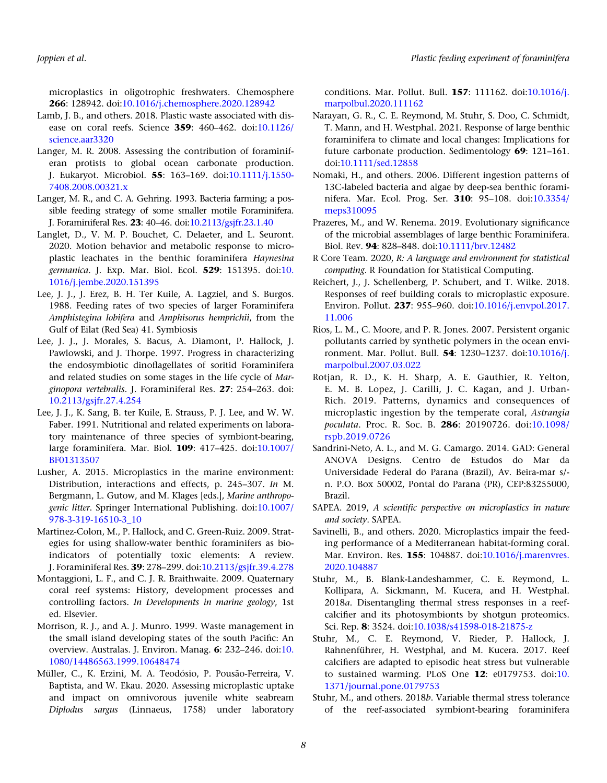microplastics in oligotrophic freshwaters. Chemosphere 266: 128942. doi[:10.1016/j.chemosphere.2020.128942](https://doi.org/10.1016/j.chemosphere.2020.128942)

- Lamb, J. B., and others. 2018. Plastic waste associated with disease on coral reefs. Science 359: 460–462. doi:[10.1126/](https://doi.org/10.1126/science.aar3320) [science.aar3320](https://doi.org/10.1126/science.aar3320)
- Langer, M. R. 2008. Assessing the contribution of foraminiferan protists to global ocean carbonate production. J. Eukaryot. Microbiol. 55: 163–169. doi:[10.1111/j.1550-](https://doi.org/10.1111/j.1550-7408.2008.00321.x) [7408.2008.00321.x](https://doi.org/10.1111/j.1550-7408.2008.00321.x)
- Langer, M. R., and C. A. Gehring. 1993. Bacteria farming; a possible feeding strategy of some smaller motile Foraminifera. J. Foraminiferal Res. 23: 40–46. doi[:10.2113/gsjfr.23.1.40](https://doi.org/10.2113/gsjfr.23.1.40)
- Langlet, D., V. M. P. Bouchet, C. Delaeter, and L. Seuront. 2020. Motion behavior and metabolic response to microplastic leachates in the benthic foraminifera Haynesina germanica. J. Exp. Mar. Biol. Ecol. 529: 151395. doi:[10.](https://doi.org/10.1016/j.jembe.2020.151395) [1016/j.jembe.2020.151395](https://doi.org/10.1016/j.jembe.2020.151395)
- Lee, J. J., J. Erez, B. H. Ter Kuile, A. Lagziel, and S. Burgos. 1988. Feeding rates of two species of larger Foraminifera Amphistegina lobifera and Amphisorus hemprichii, from the Gulf of Eilat (Red Sea) 41. Symbiosis
- Lee, J. J., J. Morales, S. Bacus, A. Diamont, P. Hallock, J. Pawlowski, and J. Thorpe. 1997. Progress in characterizing the endosymbiotic dinoflagellates of soritid Foraminifera and related studies on some stages in the life cycle of Marginopora vertebralis. J. Foraminiferal Res. 27: 254–263. doi: [10.2113/gsjfr.27.4.254](https://doi.org/10.2113/gsjfr.27.4.254)
- Lee, J. J., K. Sang, B. ter Kuile, E. Strauss, P. J. Lee, and W. W. Faber. 1991. Nutritional and related experiments on laboratory maintenance of three species of symbiont-bearing, large foraminifera. Mar. Biol. 109: 417–425. doi:[10.1007/](https://doi.org/10.1007/BF01313507) [BF01313507](https://doi.org/10.1007/BF01313507)
- Lusher, A. 2015. Microplastics in the marine environment: Distribution, interactions and effects, p. 245–307. In M. Bergmann, L. Gutow, and M. Klages [eds.], Marine anthropogenic litter. Springer International Publishing. doi:[10.1007/](https://doi.org/10.1007/978-3-319-16510-3_10) [978-3-319-16510-3\\_10](https://doi.org/10.1007/978-3-319-16510-3_10)
- Martinez-Colon, M., P. Hallock, and C. Green-Ruiz. 2009. Strategies for using shallow-water benthic foraminifers as bioindicators of potentially toxic elements: A review. J. Foraminiferal Res. 39: 278–299. doi[:10.2113/gsjfr.39.4.278](https://doi.org/10.2113/gsjfr.39.4.278)
- Montaggioni, L. F., and C. J. R. Braithwaite. 2009. Quaternary coral reef systems: History, development processes and controlling factors. In Developments in marine geology, 1st ed. Elsevier.
- Morrison, R. J., and A. J. Munro. 1999. Waste management in the small island developing states of the south Pacific: An overview. Australas. J. Environ. Manag. 6: 232–246. doi:[10.](https://doi.org/10.1080/14486563.1999.10648474) [1080/14486563.1999.10648474](https://doi.org/10.1080/14486563.1999.10648474)
- Müller, C., K. Erzini, M. A. Teodósio, P. Pousão-Ferreira, V. Baptista, and W. Ekau. 2020. Assessing microplastic uptake and impact on omnivorous juvenile white seabream Diplodus sargus (Linnaeus, 1758) under laboratory

conditions. Mar. Pollut. Bull. 157: 111162. doi:[10.1016/j.](https://doi.org/10.1016/j.marpolbul.2020.111162) [marpolbul.2020.111162](https://doi.org/10.1016/j.marpolbul.2020.111162)

- Narayan, G. R., C. E. Reymond, M. Stuhr, S. Doo, C. Schmidt, T. Mann, and H. Westphal. 2021. Response of large benthic foraminifera to climate and local changes: Implications for future carbonate production. Sedimentology 69: 121–161. doi[:10.1111/sed.12858](https://doi.org/10.1111/sed.12858)
- Nomaki, H., and others. 2006. Different ingestion patterns of 13C-labeled bacteria and algae by deep-sea benthic foraminifera. Mar. Ecol. Prog. Ser. 310: 95–108. doi:[10.3354/](https://doi.org/10.3354/meps310095) [meps310095](https://doi.org/10.3354/meps310095)
- Prazeres, M., and W. Renema. 2019. Evolutionary significance of the microbial assemblages of large benthic Foraminifera. Biol. Rev. 94: 828–848. doi:[10.1111/brv.12482](https://doi.org/10.1111/brv.12482)
- R Core Team. 2020, R: A language and environment for statistical computing. R Foundation for Statistical Computing.
- Reichert, J., J. Schellenberg, P. Schubert, and T. Wilke. 2018. Responses of reef building corals to microplastic exposure. Environ. Pollut. 237: 955–960. doi[:10.1016/j.envpol.2017.](https://doi.org/10.1016/j.envpol.2017.11.006) [11.006](https://doi.org/10.1016/j.envpol.2017.11.006)
- Rios, L. M., C. Moore, and P. R. Jones. 2007. Persistent organic pollutants carried by synthetic polymers in the ocean environment. Mar. Pollut. Bull. 54: 1230–1237. doi:[10.1016/j.](https://doi.org/10.1016/j.marpolbul.2007.03.022) [marpolbul.2007.03.022](https://doi.org/10.1016/j.marpolbul.2007.03.022)
- Rotjan, R. D., K. H. Sharp, A. E. Gauthier, R. Yelton, E. M. B. Lopez, J. Carilli, J. C. Kagan, and J. Urban-Rich. 2019. Patterns, dynamics and consequences of microplastic ingestion by the temperate coral, Astrangia poculata. Proc. R. Soc. B. 286: 20190726. doi:[10.1098/](https://doi.org/10.1098/rspb.2019.0726) [rspb.2019.0726](https://doi.org/10.1098/rspb.2019.0726)
- Sandrini-Neto, A. L., and M. G. Camargo. 2014. GAD: General ANOVA Designs. Centro de Estudos do Mar da Universidade Federal do Parana (Brazil), Av. Beira-mar s/ n. P.O. Box 50002, Pontal do Parana (PR), CEP:83255000, Brazil.
- SAPEA. 2019, A scientific perspective on microplastics in nature and society. SAPEA.
- Savinelli, B., and others. 2020. Microplastics impair the feeding performance of a Mediterranean habitat-forming coral. Mar. Environ. Res. 155: 104887. doi[:10.1016/j.marenvres.](https://doi.org/10.1016/j.marenvres.2020.104887) [2020.104887](https://doi.org/10.1016/j.marenvres.2020.104887)
- Stuhr, M., B. Blank-Landeshammer, C. E. Reymond, L. Kollipara, A. Sickmann, M. Kucera, and H. Westphal. 2018a. Disentangling thermal stress responses in a reefcalcifier and its photosymbionts by shotgun proteomics. Sci. Rep. 8: 3524. doi[:10.1038/s41598-018-21875-z](https://doi.org/10.1038/s41598-018-21875-z)
- Stuhr, M., C. E. Reymond, V. Rieder, P. Hallock, J. Rahnenführer, H. Westphal, and M. Kucera. 2017. Reef calcifiers are adapted to episodic heat stress but vulnerable to sustained warming. PLoS One 12: e0179753. doi:[10.](https://doi.org/10.1371/journal.pone.0179753) [1371/journal.pone.0179753](https://doi.org/10.1371/journal.pone.0179753)
- Stuhr, M., and others. 2018b. Variable thermal stress tolerance of the reef-associated symbiont-bearing foraminifera